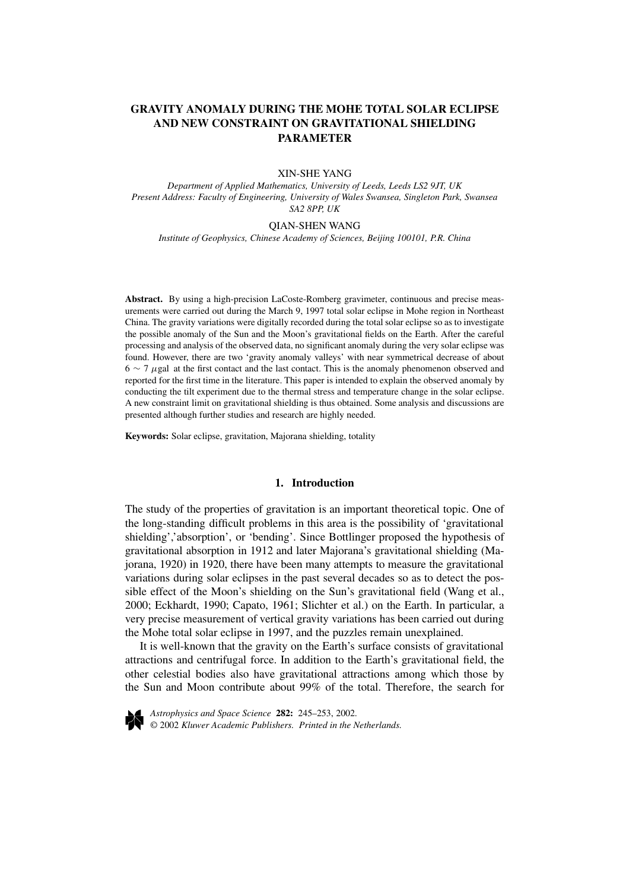# **GRAVITY ANOMALY DURING THE MOHE TOTAL SOLAR ECLIPSE AND NEW CONSTRAINT ON GRAVITATIONAL SHIELDING PARAMETER**

#### XIN-SHE YANG

*Department of Applied Mathematics, University of Leeds, Leeds LS2 9JT, UK Present Address: Faculty of Engineering, University of Wales Swansea, Singleton Park, Swansea SA2 8PP, UK*

#### QIAN-SHEN WANG

*Institute of Geophysics, Chinese Academy of Sciences, Beijing 100101, P.R. China*

**Abstract.** By using a high-precision LaCoste-Romberg gravimeter, continuous and precise measurements were carried out during the March 9, 1997 total solar eclipse in Mohe region in Northeast China. The gravity variations were digitally recorded during the total solar eclipse so as to investigate the possible anomaly of the Sun and the Moon's gravitational fields on the Earth. After the careful processing and analysis of the observed data, no significant anomaly during the very solar eclipse was found. However, there are two 'gravity anomaly valleys' with near symmetrical decrease of about 6 ∼ 7 *µ*gal at the first contact and the last contact. This is the anomaly phenomenon observed and reported for the first time in the literature. This paper is intended to explain the observed anomaly by conducting the tilt experiment due to the thermal stress and temperature change in the solar eclipse. A new constraint limit on gravitational shielding is thus obtained. Some analysis and discussions are presented although further studies and research are highly needed.

**Keywords:** Solar eclipse, gravitation, Majorana shielding, totality

# **1. Introduction**

The study of the properties of gravitation is an important theoretical topic. One of the long-standing difficult problems in this area is the possibility of 'gravitational shielding','absorption', or 'bending'. Since Bottlinger proposed the hypothesis of gravitational absorption in 1912 and later Majorana's gravitational shielding (Majorana, 1920) in 1920, there have been many attempts to measure the gravitational variations during solar eclipses in the past several decades so as to detect the possible effect of the Moon's shielding on the Sun's gravitational field (Wang et al., 2000; Eckhardt, 1990; Capato, 1961; Slichter et al.) on the Earth. In particular, a very precise measurement of vertical gravity variations has been carried out during the Mohe total solar eclipse in 1997, and the puzzles remain unexplained.

It is well-known that the gravity on the Earth's surface consists of gravitational attractions and centrifugal force. In addition to the Earth's gravitational field, the other celestial bodies also have gravitational attractions among which those by the Sun and Moon contribute about 99% of the total. Therefore, the search for



*Astrophysics and Space Science* **282:** 245–253, 2002. © 2002 *Kluwer Academic Publishers. Printed in the Netherlands.*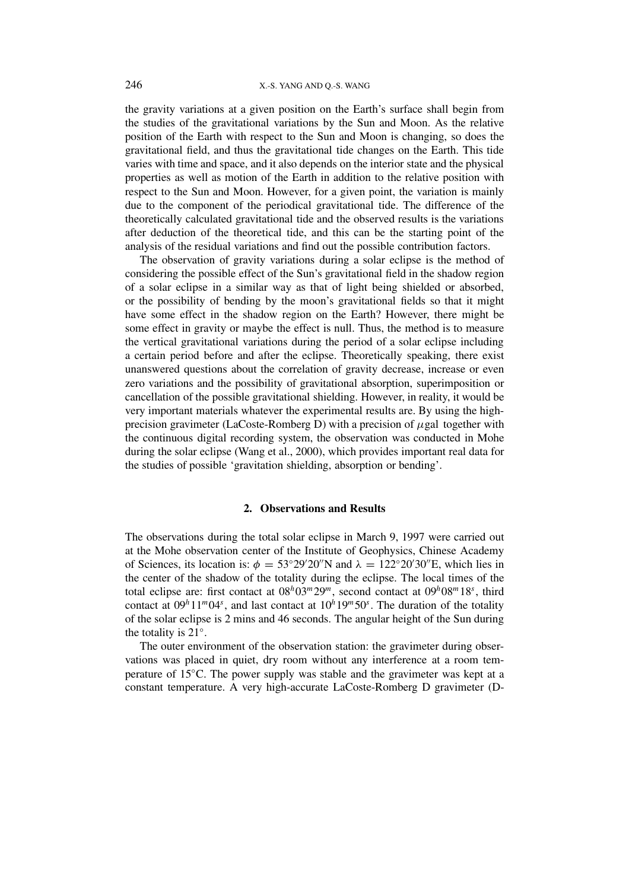the gravity variations at a given position on the Earth's surface shall begin from the studies of the gravitational variations by the Sun and Moon. As the relative position of the Earth with respect to the Sun and Moon is changing, so does the gravitational field, and thus the gravitational tide changes on the Earth. This tide varies with time and space, and it also depends on the interior state and the physical properties as well as motion of the Earth in addition to the relative position with respect to the Sun and Moon. However, for a given point, the variation is mainly due to the component of the periodical gravitational tide. The difference of the theoretically calculated gravitational tide and the observed results is the variations after deduction of the theoretical tide, and this can be the starting point of the analysis of the residual variations and find out the possible contribution factors.

The observation of gravity variations during a solar eclipse is the method of considering the possible effect of the Sun's gravitational field in the shadow region of a solar eclipse in a similar way as that of light being shielded or absorbed, or the possibility of bending by the moon's gravitational fields so that it might have some effect in the shadow region on the Earth? However, there might be some effect in gravity or maybe the effect is null. Thus, the method is to measure the vertical gravitational variations during the period of a solar eclipse including a certain period before and after the eclipse. Theoretically speaking, there exist unanswered questions about the correlation of gravity decrease, increase or even zero variations and the possibility of gravitational absorption, superimposition or cancellation of the possible gravitational shielding. However, in reality, it would be very important materials whatever the experimental results are. By using the highprecision gravimeter (LaCoste-Romberg D) with a precision of *µ*gal together with the continuous digital recording system, the observation was conducted in Mohe during the solar eclipse (Wang et al., 2000), which provides important real data for the studies of possible 'gravitation shielding, absorption or bending'.

### **2. Observations and Results**

The observations during the total solar eclipse in March 9, 1997 were carried out at the Mohe observation center of the Institute of Geophysics, Chinese Academy of Sciences, its location is:  $\phi = 53°29'20''$ N and  $\lambda = 122°20'30''$ E, which lies in the center of the shadow of the totality during the eclipse. The local times of the total eclipse are: first contact at  $08<sup>h</sup>03<sup>m</sup>29<sup>m</sup>$ , second contact at  $09<sup>h</sup>08<sup>m</sup>18<sup>s</sup>$ , third contact at  $09<sup>h</sup>11<sup>m</sup>04<sup>s</sup>$ , and last contact at  $10<sup>h</sup>19<sup>m</sup>50<sup>s</sup>$ . The duration of the totality of the solar eclipse is 2 mins and 46 seconds. The angular height of the Sun during the totality is 21◦.

The outer environment of the observation station: the gravimeter during observations was placed in quiet, dry room without any interference at a room temperature of 15◦C. The power supply was stable and the gravimeter was kept at a constant temperature. A very high-accurate LaCoste-Romberg D gravimeter (D-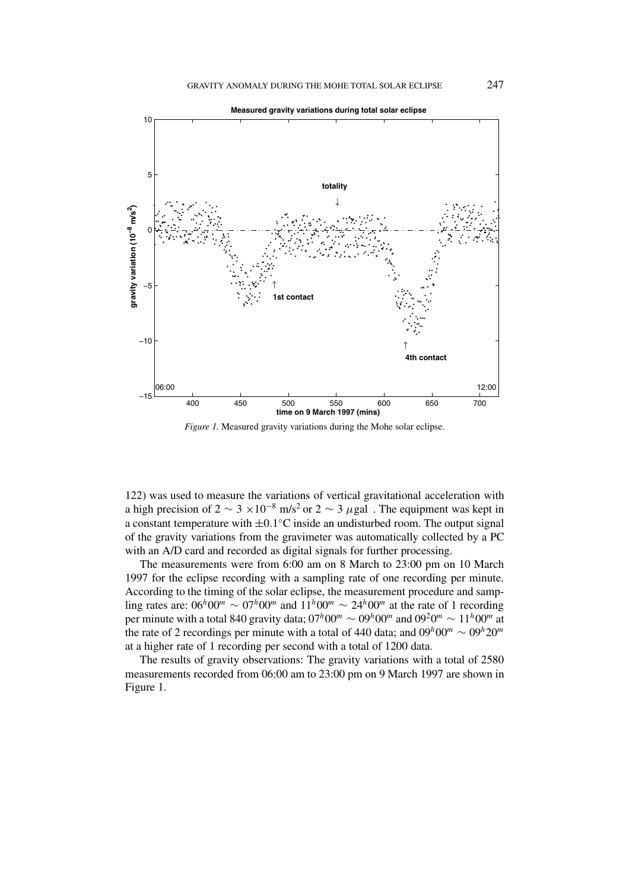

*Figure 1.* Measured gravity variations during the Mohe solar eclipse.

122) was used to measure the variations of vertical gravitational acceleration with a high precision of 2  $\sim$  3 ×10<sup>-8</sup> m/s<sup>2</sup> or 2  $\sim$  3 µgal. The equipment was kept in a constant temperature with ±0*.*1◦C inside an undisturbed room. The output signal of the gravity variations from the gravimeter was automatically collected by a PC with an A/D card and recorded as digital signals for further processing.

The measurements were from 6:00 am on 8 March to 23:00 pm on 10 March 1997 for the eclipse recording with a sampling rate of one recording per minute. According to the timing of the solar eclipse, the measurement procedure and sampling rates are:  $06^h00^m$  ∼  $07^h00^m$  and  $11^h00^m$  ∼  $24^h00^m$  at the rate of 1 recording per minute with a total 840 gravity data;  $07^h 00^m \sim 09^h 00^m$  and  $09^2 0^m \sim 11^h 00^m$  at the rate of 2 recordings per minute with a total of 440 data; and  $0.0^{h}00^{m} \sim 0.0^{h}20^{m}$ at a higher rate of 1 recording per second with a total of 1200 data.

The results of gravity observations: The gravity variations with a total of 2580 measurements recorded from 06:00 am to 23:00 pm on 9 March 1997 are shown in Figure 1.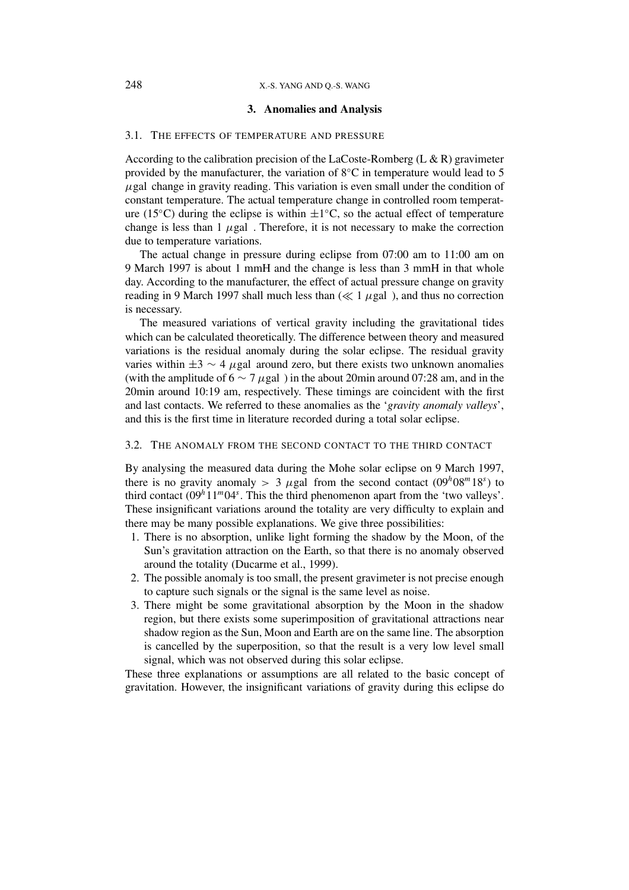### **3. Anomalies and Analysis**

### 3.1. THE EFFECTS OF TEMPERATURE AND PRESSURE

According to the calibration precision of the LaCoste-Romberg (L & R) gravimeter provided by the manufacturer, the variation of 8◦C in temperature would lead to 5  $\mu$ gal change in gravity reading. This variation is even small under the condition of constant temperature. The actual temperature change in controlled room temperature (15°C) during the eclipse is within  $\pm 1$ °C, so the actual effect of temperature change is less than 1 *µ*gal . Therefore, it is not necessary to make the correction due to temperature variations.

The actual change in pressure during eclipse from 07:00 am to 11:00 am on 9 March 1997 is about 1 mmH and the change is less than 3 mmH in that whole day. According to the manufacturer, the effect of actual pressure change on gravity reading in 9 March 1997 shall much less than  $(\ll 1 \mu$ gal), and thus no correction is necessary.

The measured variations of vertical gravity including the gravitational tides which can be calculated theoretically. The difference between theory and measured variations is the residual anomaly during the solar eclipse. The residual gravity varies within ±3 ∼ 4 *µ*gal around zero, but there exists two unknown anomalies (with the amplitude of 6 ∼ 7 *µ*gal ) in the about 20min around 07:28 am, and in the 20min around 10:19 am, respectively. These timings are coincident with the first and last contacts. We referred to these anomalies as the '*gravity anomaly valleys*', and this is the first time in literature recorded during a total solar eclipse.

### 3.2. THE ANOMALY FROM THE SECOND CONTACT TO THE THIRD CONTACT

By analysing the measured data during the Mohe solar eclipse on 9 March 1997, there is no gravity anomaly  $> 3 \mu$ gal from the second contact (09<sup>h</sup>08<sup>*m*</sup>18<sup>*s*</sup>) to third contact  $(0)^h 11^m 04^s$ . This the third phenomenon apart from the 'two valleys'. These insignificant variations around the totality are very difficulty to explain and there may be many possible explanations. We give three possibilities:

- 1. There is no absorption, unlike light forming the shadow by the Moon, of the Sun's gravitation attraction on the Earth, so that there is no anomaly observed around the totality (Ducarme et al., 1999).
- 2. The possible anomaly is too small, the present gravimeter is not precise enough to capture such signals or the signal is the same level as noise.
- 3. There might be some gravitational absorption by the Moon in the shadow region, but there exists some superimposition of gravitational attractions near shadow region as the Sun, Moon and Earth are on the same line. The absorption is cancelled by the superposition, so that the result is a very low level small signal, which was not observed during this solar eclipse.

These three explanations or assumptions are all related to the basic concept of gravitation. However, the insignificant variations of gravity during this eclipse do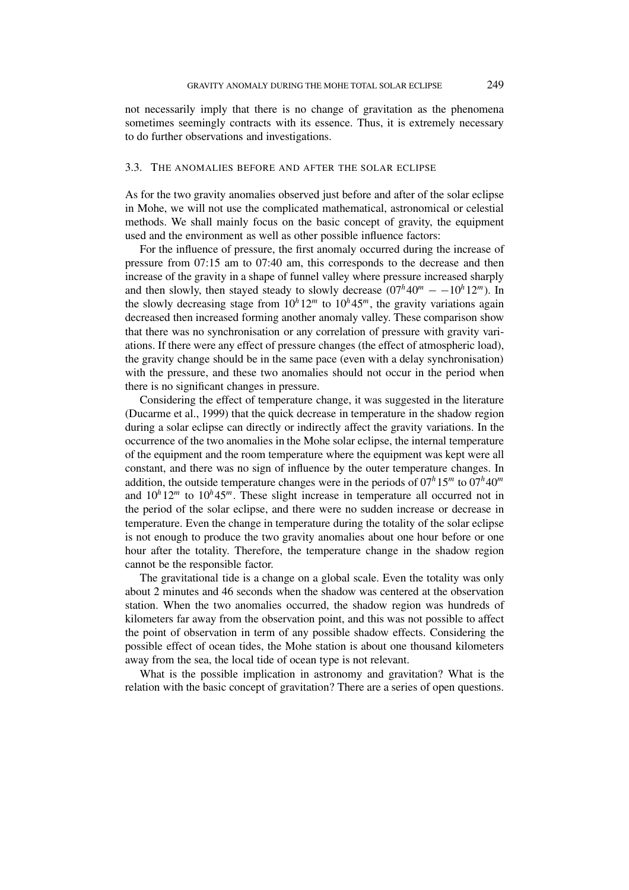not necessarily imply that there is no change of gravitation as the phenomena sometimes seemingly contracts with its essence. Thus, it is extremely necessary to do further observations and investigations.

### 3.3. THE ANOMALIES BEFORE AND AFTER THE SOLAR ECLIPSE

As for the two gravity anomalies observed just before and after of the solar eclipse in Mohe, we will not use the complicated mathematical, astronomical or celestial methods. We shall mainly focus on the basic concept of gravity, the equipment used and the environment as well as other possible influence factors:

For the influence of pressure, the first anomaly occurred during the increase of pressure from 07:15 am to 07:40 am, this corresponds to the decrease and then increase of the gravity in a shape of funnel valley where pressure increased sharply and then slowly, then stayed steady to slowly decrease  $(07^h40^m - -10^h12^m)$ . In the slowly decreasing stage from  $10^h12^m$  to  $10^h45^m$ , the gravity variations again decreased then increased forming another anomaly valley. These comparison show that there was no synchronisation or any correlation of pressure with gravity variations. If there were any effect of pressure changes (the effect of atmospheric load), the gravity change should be in the same pace (even with a delay synchronisation) with the pressure, and these two anomalies should not occur in the period when there is no significant changes in pressure.

Considering the effect of temperature change, it was suggested in the literature (Ducarme et al., 1999) that the quick decrease in temperature in the shadow region during a solar eclipse can directly or indirectly affect the gravity variations. In the occurrence of the two anomalies in the Mohe solar eclipse, the internal temperature of the equipment and the room temperature where the equipment was kept were all constant, and there was no sign of influence by the outer temperature changes. In addition, the outside temperature changes were in the periods of  $07<sup>h</sup>15<sup>m</sup>$  to  $07<sup>h</sup>40<sup>m</sup>$ and  $10^h12^m$  to  $10^h45^m$ . These slight increase in temperature all occurred not in the period of the solar eclipse, and there were no sudden increase or decrease in temperature. Even the change in temperature during the totality of the solar eclipse is not enough to produce the two gravity anomalies about one hour before or one hour after the totality. Therefore, the temperature change in the shadow region cannot be the responsible factor.

The gravitational tide is a change on a global scale. Even the totality was only about 2 minutes and 46 seconds when the shadow was centered at the observation station. When the two anomalies occurred, the shadow region was hundreds of kilometers far away from the observation point, and this was not possible to affect the point of observation in term of any possible shadow effects. Considering the possible effect of ocean tides, the Mohe station is about one thousand kilometers away from the sea, the local tide of ocean type is not relevant.

What is the possible implication in astronomy and gravitation? What is the relation with the basic concept of gravitation? There are a series of open questions.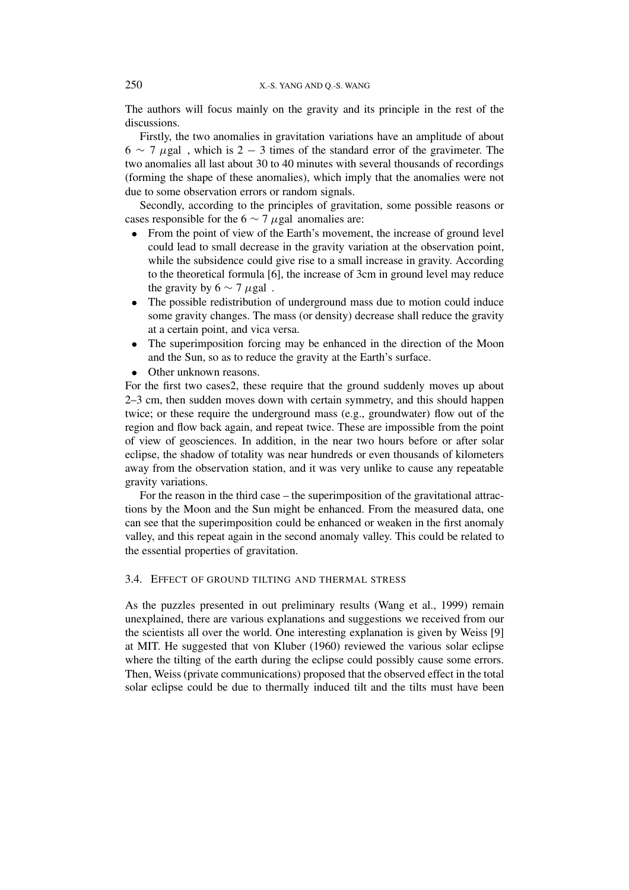The authors will focus mainly on the gravity and its principle in the rest of the discussions.

Firstly, the two anomalies in gravitation variations have an amplitude of about 6 ∼ 7 *µ*gal , which is 2 − 3 times of the standard error of the gravimeter. The two anomalies all last about 30 to 40 minutes with several thousands of recordings (forming the shape of these anomalies), which imply that the anomalies were not due to some observation errors or random signals.

Secondly, according to the principles of gravitation, some possible reasons or cases responsible for the 6 ∼ 7 *µ*gal anomalies are:

- From the point of view of the Earth's movement, the increase of ground level could lead to small decrease in the gravity variation at the observation point, while the subsidence could give rise to a small increase in gravity. According to the theoretical formula [6], the increase of 3cm in ground level may reduce the gravity by  $6 \sim 7 \mu$ gal.
- The possible redistribution of underground mass due to motion could induce some gravity changes. The mass (or density) decrease shall reduce the gravity at a certain point, and vica versa.
- The superimposition forcing may be enhanced in the direction of the Moon and the Sun, so as to reduce the gravity at the Earth's surface.
- Other unknown reasons.

For the first two cases2, these require that the ground suddenly moves up about 2–3 cm, then sudden moves down with certain symmetry, and this should happen twice; or these require the underground mass (e.g., groundwater) flow out of the region and flow back again, and repeat twice. These are impossible from the point of view of geosciences. In addition, in the near two hours before or after solar eclipse, the shadow of totality was near hundreds or even thousands of kilometers away from the observation station, and it was very unlike to cause any repeatable gravity variations.

For the reason in the third case – the superimposition of the gravitational attractions by the Moon and the Sun might be enhanced. From the measured data, one can see that the superimposition could be enhanced or weaken in the first anomaly valley, and this repeat again in the second anomaly valley. This could be related to the essential properties of gravitation.

## 3.4. EFFECT OF GROUND TILTING AND THERMAL STRESS

As the puzzles presented in out preliminary results (Wang et al., 1999) remain unexplained, there are various explanations and suggestions we received from our the scientists all over the world. One interesting explanation is given by Weiss [9] at MIT. He suggested that von Kluber (1960) reviewed the various solar eclipse where the tilting of the earth during the eclipse could possibly cause some errors. Then, Weiss (private communications) proposed that the observed effect in the total solar eclipse could be due to thermally induced tilt and the tilts must have been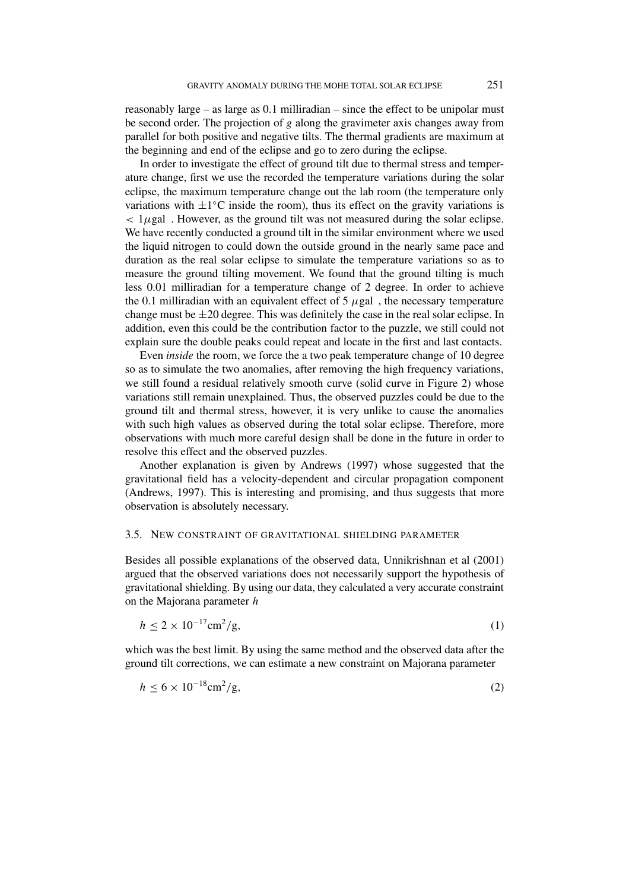reasonably large – as large as 0.1 milliradian – since the effect to be unipolar must be second order. The projection of *g* along the gravimeter axis changes away from parallel for both positive and negative tilts. The thermal gradients are maximum at the beginning and end of the eclipse and go to zero during the eclipse.

In order to investigate the effect of ground tilt due to thermal stress and temperature change, first we use the recorded the temperature variations during the solar eclipse, the maximum temperature change out the lab room (the temperature only variations with  $\pm 1$ °C inside the room), thus its effect on the gravity variations is  $< 1 \mu$ gal. However, as the ground tilt was not measured during the solar eclipse. We have recently conducted a ground tilt in the similar environment where we used the liquid nitrogen to could down the outside ground in the nearly same pace and duration as the real solar eclipse to simulate the temperature variations so as to measure the ground tilting movement. We found that the ground tilting is much less 0.01 milliradian for a temperature change of 2 degree. In order to achieve the 0.1 milliradian with an equivalent effect of  $5 \mu$ gal, the necessary temperature change must be  $\pm 20$  degree. This was definitely the case in the real solar eclipse. In addition, even this could be the contribution factor to the puzzle, we still could not explain sure the double peaks could repeat and locate in the first and last contacts.

Even *inside* the room, we force the a two peak temperature change of 10 degree so as to simulate the two anomalies, after removing the high frequency variations, we still found a residual relatively smooth curve (solid curve in Figure 2) whose variations still remain unexplained. Thus, the observed puzzles could be due to the ground tilt and thermal stress, however, it is very unlike to cause the anomalies with such high values as observed during the total solar eclipse. Therefore, more observations with much more careful design shall be done in the future in order to resolve this effect and the observed puzzles.

Another explanation is given by Andrews (1997) whose suggested that the gravitational field has a velocity-dependent and circular propagation component (Andrews, 1997). This is interesting and promising, and thus suggests that more observation is absolutely necessary.

### 3.5. NEW CONSTRAINT OF GRAVITATIONAL SHIELDING PARAMETER

Besides all possible explanations of the observed data, Unnikrishnan et al (2001) argued that the observed variations does not necessarily support the hypothesis of gravitational shielding. By using our data, they calculated a very accurate constraint on the Majorana parameter *h*

$$
h \le 2 \times 10^{-17} \text{cm}^2/\text{g},\tag{1}
$$

which was the best limit. By using the same method and the observed data after the ground tilt corrections, we can estimate a new constraint on Majorana parameter

$$
h \le 6 \times 10^{-18} \text{cm}^2/\text{g},\tag{2}
$$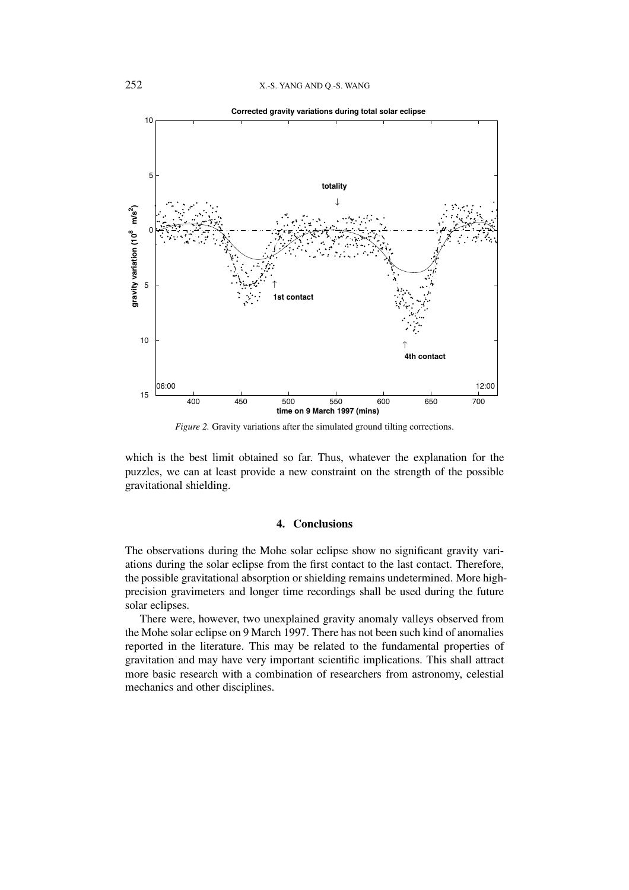

*Figure 2.* Gravity variations after the simulated ground tilting corrections.

which is the best limit obtained so far. Thus, whatever the explanation for the puzzles, we can at least provide a new constraint on the strength of the possible gravitational shielding.

#### **4. Conclusions**

The observations during the Mohe solar eclipse show no significant gravity variations during the solar eclipse from the first contact to the last contact. Therefore, the possible gravitational absorption or shielding remains undetermined. More highprecision gravimeters and longer time recordings shall be used during the future solar eclipses.

There were, however, two unexplained gravity anomaly valleys observed from the Mohe solar eclipse on 9 March 1997. There has not been such kind of anomalies reported in the literature. This may be related to the fundamental properties of gravitation and may have very important scientific implications. This shall attract more basic research with a combination of researchers from astronomy, celestial mechanics and other disciplines.